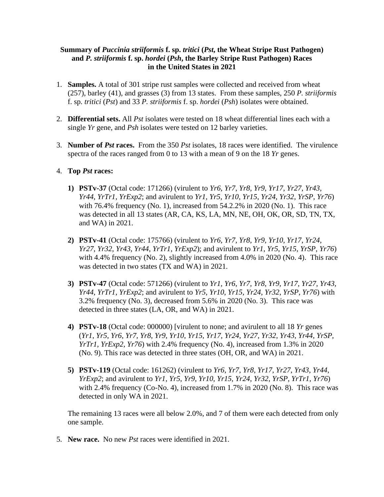## **Summary of** *Puccinia striiformis* **f. sp.** *tritici* **(***Pst***, the Wheat Stripe Rust Pathogen) and** *P. striiformis* **f. sp.** *hordei* **(***Psh***, the Barley Stripe Rust Pathogen) Races in the United States in 2021**

- 1. **Samples.** A total of 301 stripe rust samples were collected and received from wheat (257), barley (41), and grasses (3) from 13 states. From these samples, 250 *P. striiformis* f. sp. *tritici* (*Pst*) and 33 *P. striiformis* f. sp. *hordei* (*Psh*) isolates were obtained.
- 2. **Differential sets.** All *Pst* isolates were tested on 18 wheat differential lines each with a single *Yr* gene, and *Psh* isolates were tested on 12 barley varieties.
- 3. **Number of** *Pst* **races.** From the 350 *Pst* isolates, 18 races were identified. The virulence spectra of the races ranged from 0 to 13 with a mean of 9 on the 18 *Yr* genes.

## 4. **Top** *Pst* **races:**

- **1) PSTv-37** (Octal code: 171266) (virulent to *Yr6*, *Yr7*, *Yr8*, *Yr9*, *Yr17*, *Yr27*, *Yr43*, *Yr44*, *YrTr1*, *YrExp2*; and avirulent to *Yr1*, *Yr5*, *Yr10*, *Yr15*, *Yr24*, *Yr32*, *YrSP*, *Yr76*) with 76.4% frequency (No. 1), increased from 54.2.2% in 2020 (No. 1). This race was detected in all 13 states (AR, CA, KS, LA, MN, NE, OH, OK, OR, SD, TN, TX, and WA) in 2021.
- **2) PSTv-41** (Octal code: 175766) (virulent to *Yr6*, *Yr7*, *Yr8*, *Yr9*, *Yr10*, *Yr17*, *Yr24*, *Yr27*, *Yr32*, *Yr43*, *Yr44*, *YrTr1*, *YrExp2*); and avirulent to *Yr1*, *Yr5*, *Yr15*, *YrSP*, *Yr76*) with 4.4% frequency (No. 2), slightly increased from 4.0% in 2020 (No. 4). This race was detected in two states (TX and WA) in 2021.
- **3) PSTv-47** (Octal code: 571266) (virulent to *Yr1*, *Yr6*, *Yr7*, *Yr8*, *Yr9*, *Yr17*, *Yr27*, *Yr43*, *Yr44*, *YrTr1*, *YrExp2*; and avirulent to *Yr5*, *Yr10*, *Yr15*, *Yr24*, *Yr32*, *YrSP*, *Yr76*) with 3.2% frequency (No. 3), decreased from 5.6% in 2020 (No. 3). This race was detected in three states (LA, OR, and WA) in 2021.
- **4) PSTv-18** (Octal code: 000000) [virulent to none; and avirulent to all 18 *Yr* genes (*Yr1*, *Yr5*, *Yr6*, *Yr7*, *Yr8*, *Yr9*, *Yr10*, *Yr15*, *Yr17*, *Yr24*, *Yr27*, *Yr32*, *Yr43*, *Yr44*, *YrSP*, *YrTr1*, *YrExp2*, *Yr76*) with 2.4% frequency (No. 4), increased from 1.3% in 2020 (No. 9). This race was detected in three states (OH, OR, and WA) in 2021.
- **5) PSTv-119** (Octal code: 161262) (virulent to *Yr6*, *Yr7*, *Yr8*, *Yr17*, *Yr27*, *Yr43*, *Yr44*, *YrExp2*; and avirulent to *Yr1*, *Yr5*, *Yr9*, *Yr10*, *Yr15*, *Yr24*, *Yr32*, *YrSP*, *YrTr1*, *Yr76*) with 2.4% frequency (Co-No. 4), increased from 1.7% in 2020 (No. 8). This race was detected in only WA in 2021.

 The remaining 13 races were all below 2.0%, and 7 of them were each detected from only one sample.

5. **New race.** No new *Pst* races were identified in 2021.